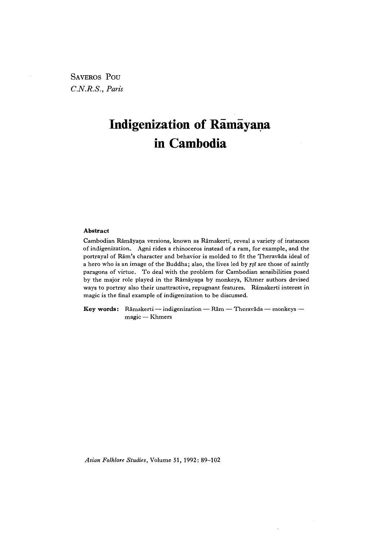Saveros Pou *C.N.R.S., Paris*

# **Indigenization of Ramayana in Cambodia**

#### Abstract

Cambodian Ramayana versions, known as Ramakerti, reveal a variety of instances of indigenization. Agni rides a rhinoceros instead of a ram, for example, and the portrayal of Rām's character and behavior is molded to fit the Theravāda ideal of a hero who is an image of the Buddha; also, the lives led by *rst* are those of saintly paragons of virtue. To deal with the problem for Cambodian sensibilities posed by the major role played in the Ramayana by monkeys, Khmer authors devised ways to portray also their unattractive, repugnant features. Ramakerti interest in magic is the final example of indigenization to be discussed.

Key words: Rāmakerti — indigenization — Rām — Theravāda — monkeys magic — Khmers

Asian Folklore Studies, Volume 51, 1992: 89-102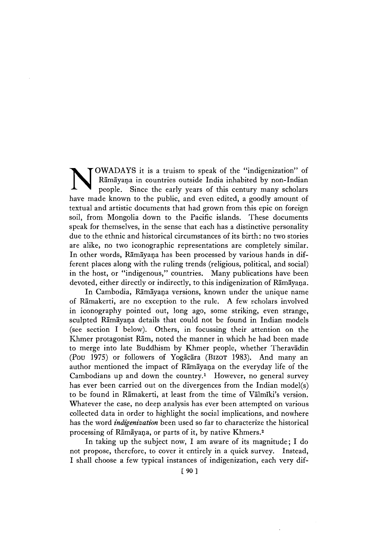N OWADAYS it is a truism to speak of the "indigenization" of Ramayana in countries outside India inhabited by non-Indian people. Since the early years of this century many scholars have made known to the public, and even edited, a goodly amount of textual and artistic documents that had grown from this epic on foreign soil, from Mongolia down to the Pacific islands. These documents speak for themselves, in the sense that each has a distinctive personality due to the ethnic and historical circumstances of its birth: no two stories are alike, no two iconographic representations are completely similar. In other words, Ramayana has been processed by various hands in different places along with the ruling trends (religious, political, and social) in the host, or "indigenous," countries. Many publications have been devoted, either directly or indirectly, to this indigenization of Ramayana.

In Cambodia, Ramayana versions, known under the unique name of Ramakerti, are no exception to the rule. A few scholars involved in iconography pointed out, long ago, some striking, even strange, sculpted Ramayana details that could not be found in Indian models (see section I below). Others, in focussing their attention on the Khmer protagonist Rām, noted the manner in which he had been made to merge into late Buddhism by Khmer people, whether Theravadin (Pou 1975) or followers of Yogacara (Bizor 1983). And many an author mentioned the impact of Ramayana on the everyday life of the Cambodians up and down the country.<sup>1</sup> However, no general survey has ever been carried out on the divergences from the Indian model(s) to be found in Ramakerti, at least from the time of Valmiki's version. Whatever the case, no deep analysis has ever been attempted on various collected data in order to highlight the social implications, and nowhere has the word *indigenization* been used so far to characterize the historical processing of Rāmāyaṇa, or parts of it, by native Khmers.<sup>2</sup>

In taking up the subject now, I am aware of its magnitude; I do not propose, therefore, to cover it entirely in a quick survey. Instead, I shall choose a few typical instances of indigenization, each very dif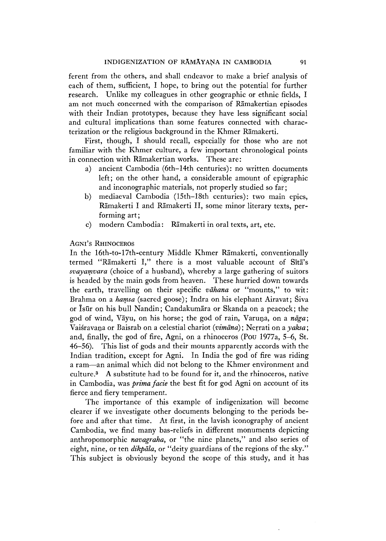ferent from the others, and shall endeavor to make a brief analysis of each of them, sufficient, I hope, to bring out the potential for further research. Unlike my colleagues in other geographic or ethnic fields, I am not much concerned with the comparison of Ramakertian episodes with their Indian prototypes, because they have less significant social and cultural implications than some features connected with characterization or the religious background in the Khmer Rāmakerti.

First, though, I should recall, especially for those who are not familiar with the Khmer culture, a few important chronological points in connection with Ramakertian works. These are:

- a) ancient Cambodia (6th-14th centuries): no written documents left; on the other hand, a considerable amount of epigraphic and inconographic materials, not properly studied so far;
- b) mediaeval Cambodia (15th-18th centuries): two main epics, Rāmakerti I and Rāmakerti II, some minor literary texts, performing art;
- c) modern Cambodia: Ramakerti in oral texts, art, etc.

AGNI'S RHINOCEROS

In the 16th-to-17th-century Middle Khmer Rāmakerti, conventionally termed "Ramakerti I," there is a most valuable account of Sita's *svayamvara* (choice of a husband), whereby a large gathering of suitors is headed by the main gods from heaven. These hurried down towards the earth, travelling on their specific *vahana* or "mounts," to wit: Brahma on a *hamsa* (sacred goose); Indra on his elephant Airavat; Siva or Isūr on his bull Nandin; Candakumāra or Skanda on a peacock; the god of wind, Vayu, on his horse; the god of rain, Varuna, on a *naga\* Vaisravana or Baisrab on a celestial chariot *{vimdna*) ; Nerrati on a *yaksa*; and, finally, the god of fire, Agni, on a rhinoceros (Pou 1977a, 5-6, St. 46-56). This list of gods and their mounts apparently accords with the Indian tradition, except for Agni. In India the god of fire was riding a ram—an animal which did not belong to the Khmer environment and culture.3 A substitute had to be found for it, and the rhinoceros, native in Cambodia, was *prima facie* the best fit for god Agni on account of its fierce and fiery temperament.

The importance of this example of indigenization will become clearer if we investigate other documents belonging to the periods before and after that time. At first, in the lavish iconography of ancient Cambodia, we find many bas-reliefs in different monuments depicting anthropomorphic *navagraha*, or "the nine planets," and also series of eight, nine, or ten *dikpāla*, or "deity guardians of the regions of the sky." This subject is obviously beyond the scope of this study, and it has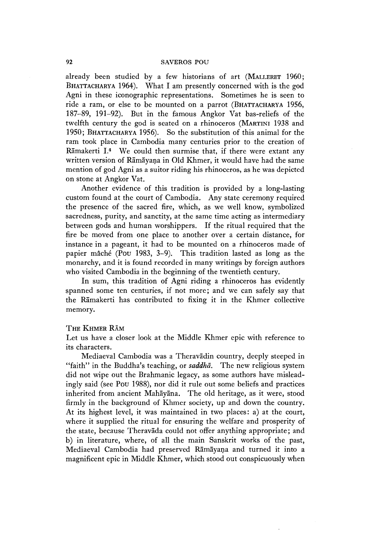already been studied by a few historians of art (MALLERET 1960; BHATTACHARYA 1964). What I am presently concerned with is the god Agni in these iconographic representations. Sometimes he is seen to ride a ram, or else to be mounted on a parrot (BHATTACHARYA 1956, 187—89 191-92). But in the famous Angkor Vat bas-reliefs of the twelfth century the god is seated on a rhinoceros (MARTINI 1938 and 1950; BHATTACHARYA 1956). So the substitution of this animal for the ram took place in Cambodia many centuries prior to the creation of Rāmakerti I.<sup>4</sup> We could then surmise that, if there were extant any written version of Ramayana in Old Khmer, it would have had the same mention of god Agni as a suitor riding his rhinoceros, as he was depicted on stone at Angkor Vat.

Another evidence of this tradition is provided by a long-lasting custom found at the court of Cambodia. Any state ceremony required the presence of the sacred fire, which, as we well know, symbolized sacredness, purity, and sanctity, at the same time acting as intermediary between gods and human worshippers. If the ritual required that the fire be moved from one place to another over a certain distance, for instance in a pageant, it had to be mounted on a rhinoceros made of papier mâché (Pou 1983, 3-9). This tradition lasted as long as the monarchy, and it is found recorded in many writings by foreign authors who visited Cambodia in the beginning of the twentieth century.

In sum, this tradition of Agni riding a rhinoceros has evidently spanned some ten centuries, if not more; and we can safely say that the Ramakerti has contributed to fixing it in the Khmer collective memory.

### THE KHMER RAM

Let us have a closer look at the Middle Khmer epic with reference to its characters.

Mediaeval Cambodia was a Theravadin country, deeply steeped in "faith" in the Buddha's teaching, or *saddhā*. The new religious system did not wipe out the Brahmanic legacy, as some authors have misleadingly said (see Pou 1988), nor did it rule out some beliefs and practices inherited from ancient Mahayana. The old heritage, as it were, stood firmly in the background of Khmer society, up and down the country. At its highest level, it was maintained in two places: a) at the court, where it supplied the ritual for ensuring the welfare and prosperity of the state, because Theravada could not offer anything appropriate; and b) in literature, where, of all the main Sanskrit works of the past, Mediaeval Cambodia had preserved Ramayana and turned it into a magnificent epic in Middle Khmer, which stood out conspicuously when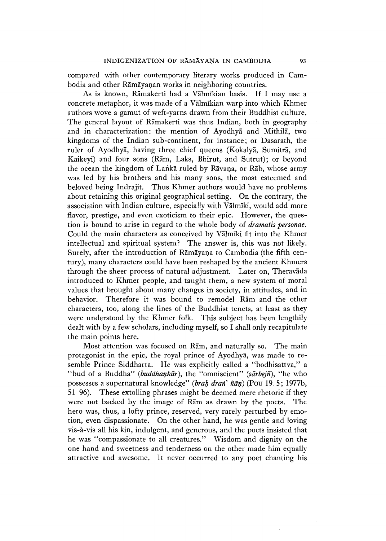compared with other contemporary literary works produced in Cambodia and other Rāmāyanan works in neighboring countries.

As is known, Ramakerti had a Valmlkian basis. If I may use a concrete metaphor, it was made of a Valmikian warp into which Khmer authors wove a gamut of weft-yarns drawn from their Buddhist culture. The general layout of Ramakerti was thus Indian, both in geography and in characterization: the mention of Ayodhya and Mithila, two kingdoms of the Indian sub-continent, for instance; or Dasarath, the ruler of Ayodhya, having three chief queens (Kokalya, Sumitra, and Kaikeyi) and four sons (Rām, Laks, Bhirut, and Sutrut); or beyond the ocean the kingdom of Lanka ruled by Ravana, or Rab, whose army was led by his brothers and his many sons, the most esteemed and beloved being Indrajit. Thus Khmer authors would have no problems about retaining this original geographical setting. On the contrary, the association with Indian culture, especially with Vālmīki, would add more flavor, prestige, and even exoticism to their epic. However, the question is bound to arise in regard to the whole body ot *dramatis personae.* Could the main characters as conceived by Valmlki fit into the Khmer intellectual and spiritual system? The answer is, this was not likely. Surely, after the introduction of Ramayana to Cambodia (the fifth century), many characters could have been reshaped by the ancient Khmers through the sheer process of natural adjustment. Later on, Theravada introduced to Khmer people, and taught them, a new system of moral values that brought about many changes in society, in attitudes, and in behavior. Therefore it was bound to remodel Ram and the other characters, too, along the lines of the Buddhist tenets, at least as they were understood by the Khmer folk. This subject has been lengthily dealt with by a few scholars, including myself, so I shall only recapitulate the main points here.

Most attention was focused on Ram, and naturally so. The main protagonist in the epic, the royal prince of Ayodhya, was made to resemble Prince Siddharta. He was explicitly called a "bodhisattva," a "bud of a Buddha" *(buddhankur),* the "omniscient" *(sarbejn),* "he who possesses a supernatural knowledge" *(brah dran' ñān)* (Pou 19.5; 1977b, 51-96). These extolling phrases might be deemed mere rhetoric if they were not backed by the image of Ram as drawn by the poets. The hero was, thus, a lofty prince, reserved, very rarely perturbed by emotion, even dispassionate. On the other hand, he was gentle and loving vis-a-vis all his kin, indulgent, and generous, and the poets insisted that he was "compassionate to all creatures." Wisdom and dignity on the one hand and sweetness and tenderness on the other made him equally attractive and awesome. It never occurred to any poet chanting his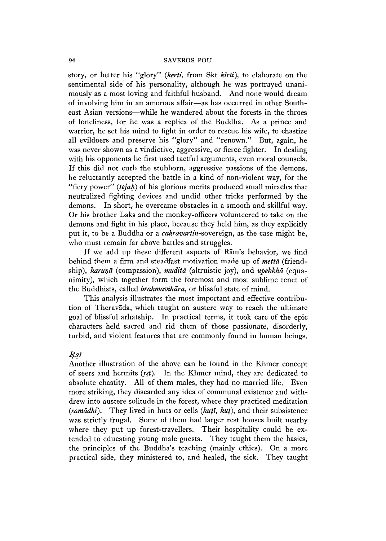story, or better his "glory" *(kerti,* from Skt *ktrti),* to elaborate on the sentimental side of his personality, although he was portrayed unanimously as a most loving and faithful husband. And none would dream of involving him in an amorous affair—as has occurred in other Southeast Asian versions—while he wandered about the forests in the throes of loneliness, for he was a replica of the Buddha. As a prince and warrior, he set his mind to fight in order to rescue his wife, to chastize all evildoers and preserve his "glory" and "renown." But, again, he was never shown as a vindictive, aggressive, or fierce fighter. In dealing with his opponents he first used tactful arguments, even moral counsels. If this did not curb the stubborn, aggressive passions of the demons, he reluctantly accepted the battle in a kind of non-violent way, for the "fiery power" *(tejah)* of his glorious merits produced small miracles that neutralized fighting devices and undid other tricks performed by the demons. In short, he overcame obstacles in a smooth and skillful way. Or his brother Laks and the monkey-officers volunteered to take on the demons and fight in his place, because they held him, as they explicitly put it, to be a Buddha or a *cakravartin*-sovereign, as the case might be, who must remain far above battles and struggles.

If we add up these different aspects of Ram's behavior, we find behind them a firm and steadfast motivation made up of *metta* (friendship), *karunā* (compassion), *muditā* (altruistic joy), and *upekkhā* (equanimity), which together form the foremost and most sublime tenet of the Buddhists, called *brahmavihdra^* or blissful state of mind.

This analysis illustrates the most important and effective contribution of Theravada, which taught an austere way to reach the ultimate goal of blissful arhatship. In practical terms, it took care of the epic characters held sacred and rid them of those passionate, disorderly, turbid, and violent features that are commonly found in human beings.

# *Rsi*

Another illustration of the above can be found in the Khmer concept of seers and hermits *(rst).* In the Khmer mind, they are dedicated to absolute chastity. All of them males, they had no married life. Even more striking, they discarded any idea of communal existence and withdrew into austere solitude in the forest, where they practiced meditation *(samādhi)*. They lived in huts or cells *(kuti, kut)*, and their subsistence was strictly frugal. Some of them had larger rest houses built nearby where they put up forest-travellers. Their hospitality could be extended to educating young male guests. They taught them the basics, the principles of the Buddha's teaching (mainly ethics). On a more practical side, they ministered to, and healed, the sick. "They taught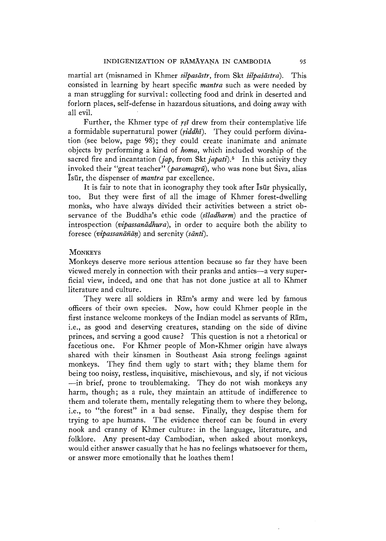martial art (misnamed in Khmer *silpasdstr,* from Skt *silpasastra).* This consisted in learning by heart specific *mantra* such as were needed by a man struggling for survival: collecting food and drink in deserted and forlorn places, self-defense in hazardous situations, and doing away with all evil.

Further, the Khmer type of *rst* drew from their contemplative life a formidable supernatural power *(riddhi)*. They could perform divination (see below, page 98); they could create inanimate and animate objects by performing a kind of *homa,* which included worship of the sacred fire and incantation *(jap, from Skt japati)*.<sup>5</sup> In this activity they invoked their "great teacher" (*paramagru*), who was none but Siva, alias Isur, the dispenser of *mantra* par excellence.

It is fair to note that in iconography they took after Isur physically, too. But they were first of all the image of Khmer forest-dwelling monks, who have always divided their activities between a strict observance of the Buddha's ethic code *(siladharm)* and the practice of introspection *{vipassanddhura\* in order to acquire both the ability to foresee *(vipassanāñān)* and serenity *(sānti)*.

# **MONKEYS**

Monkeys deserve more serious attention because so far they have been viewed merely in connection with their pranks and antics— a very superficial view, indeed, and one that has not done justice at all to Khmer literature and culture.

They were all soldiers in Ram's army and were led by famous officers of their own species. Now, how could Khmer people in the first instance welcome monkeys of the Indian model as servants of Ram, i.e., as good and deserving creatures, standing on the side of divine princes, and serving a good cause? This question is not a rhetorical or facetious one. For Khmer people of Mon-Khmer origin have always shared with their kinsmen in Southeast Asia strong feelings against monkeys. They find them ugly to start with; they blame them for being too noisy, restless, inquisitive, mischievous, and sly, if not vicious —in brief, prone to troublemaking. They do not wish monkeys any harm, though; as a rule, they maintain an attitude of indifference to them and tolerate them, mentally relegating them to where they belong, i.e., to "the forest" in a bad sense. Finally, they despise them for trying to ape humans. The evidence thereof can be found in every nook and cranny of Khmer culture: in the language, literature, and folklore. Any present-day Cambodian, when asked about monkeys, would either answer casually that he has no feelings whatsoever for them, or answer more emotionally that he loathes them!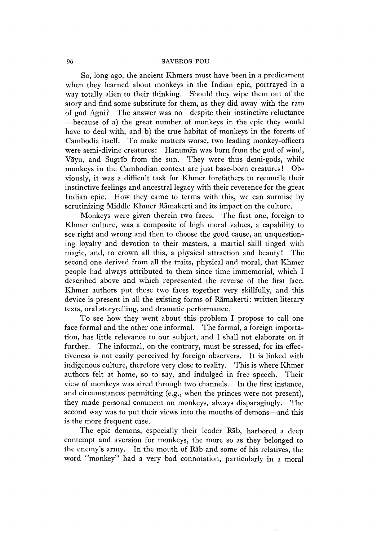So, long ago, the ancient Khmers must have been in a predicament when they learned about monkeys in the Indian epic, portrayed in a way totally alien to their thinking. Should they wipe them out of the story and find some substitute for them, as they did away with the ram of god Agni? The answer was no—despite their instinctive reluctance —because of a) the great number of monkeys in the epic they would have to deal with, and b) the true habitat of monkeys in the forests of Cambodia itself. To make matters worse, two leading monkey-officers were semi-divine creatures: Hanuman was born from the god of wind, Vayu, and Sugrib from the sun. They were thus demi-gods, while monkeys in the Cambodian context are just base-born creatures! Obviously, it was a difficult task for Khmer forefathers to reconcile their instinctive feelings and ancestral legacy with their reverence for the great Indian epic. How they came to terms with this, we can surmise by scrutinizing Middle Khmer Rāmakerti and its impact on the culture.

Monkeys were given therein two faces. The first one, foreign to Khmer culture, was a composite of high moral values, a capability to see right and wrong and then to choose the good cause, an unquestioning loyalty and devotion to their masters, a martial skill tinged with magic, and, to crown all this, a physical attraction and beauty! The second one derived from all the traits, physical and moral, that Khmer people had always attributed to them since time immemorial, which I described above and which represented the reverse of the first face. Khmer authors put these two faces together very skillfully, and this device is present in all the existing forms of Ramakerti: written literary texts, oral storytelling, and dramatic performance.

To see how they went about this problem I propose to call one face formal and the other one informal. The formal, a foreign importation, has little relevance to our subject, and I shall not elaborate on it further. The informal, on the contrary, must be stressed, for its effectiveness is not easily perceived by foreign observers. It is linked with indigenous culture, therefore very close to reality. This is where Khmer authors felt at home, so to say, and indulged in free speech. Their view of monkeys was aired through two channels. In the first instance, and circumstances permitting (e.g., when the princes were not present), they made personal comment on monkeys, always disparagingly. The second way was to put their views into the mouths of demons—and this is the more frequent case.

The epic demons, especially their leader Rab, harbored a deep contempt and aversion for monkeys, the more so as they belonged to the enemy's army. In the mouth of Rab and some of his relatives, the word "monkey" had a very bad connotation, particularly in a moral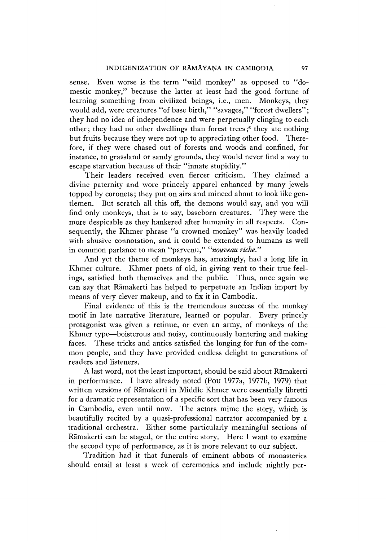sense. Even worse is the term "wild monkey" as opposed to "domestic monkey," because the latter at least had the good fortune of learning something from civilized beings, i.e., men. Monkeys, they would add, were creatures "of base birth," "savages," "forest dwellers": they had no idea of independence and were perpetually clinging to each other; they had no other dwellings than forest trees;<sup>6</sup> they ate nothing but fruits because they were not up to appreciating other food. Therefore, if they were chased out of forests and woods and confined, for instance, to grassland or sandy grounds, they would never find a way to escape starvation because of their "innate stupidity."

Their leaders received even fiercer criticism. They claimed a divine paternity and wore princely apparel enhanced by many jewels topped by coronets; they put on airs and minced about to look like gentlemen. But scratch all this off, the demons would say, and you will find only monkeys, that is to say, baseborn creatures. They were the more despicable as they hankered after humanity in all respects. Consequently, the Khmer phrase "a crowned monkey" was heavily loaded with abusive connotation, and it could be extended to humans as well in common parlance to mean "parvenu," "nouveau riche."

And yet the theme of monkeys has, amazingly, had a long life in Khmer culture. Khmer poets of old, in giving vent to their true feelings, satisfied both themselves and the public. Thus, once again we can say that Ramakerti has helped to perpetuate an Indian import by means of very clever makeup, and to fix it in Cambodia.

Final evidence of this is the tremendous success of the monkey motif in late narrative literature, learned or popular. Every princely protagonist was given a retinue, or even an army, of monkeys of the Khmer type—boisterous and noisy, continuously bantering and making faces. These tricks and antics satisfied the longing for fun of the common people, and they have provided endless delight to generations of readers and listeners.

A last word, not the least important, should be said about Rāmakerti in performance. I have already noted (Pou 1977a, 1977b, 1979) that written versions of Ramakerti in Middle Khmer were essentially libretti for a dramatic representation of a specific sort that has been very famous in Cambodia, even until now. The actors mime the story, which is beautifully recited by a quasi-professional narrator accompanied by a traditional orchestra. Either some particularly meaningful sections of Rämakerti can be staged, or the entire story. Here I want to examine the second type of performance, as it is more relevant to our subject.

Tradition had it that funerals of eminent abbots of monasteries should entail at least a week of ceremonies and include nightly per-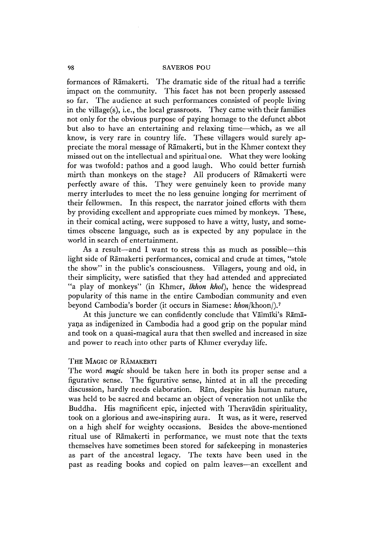formances of Ramakerti. The dramatic side of the ritual had a terrific impact on the community. This facet has not been properly assessed so far. The audience at such performances consisted of people living in the village(s), i.e., the local grassroots. They came with their families not only for the obvious purpose of paying homage to the defunct abbot but also to have an entertaining and relaxing time—which, as we all know, is very rare in country life. These villagers would surely appreciate the moral message of Ramakerti, but in the Khmer context they missed out on the intellectual and spiritual one. What they were looking for was twofold: pathos and a good laugh. Who could better furnish mirth than monkeys on the stage? All producers of Ramakerti were perfectly aware of this. They were genuinely keen to provide many merry interludes to meet the no less genuine longing for merriment of their fellowmen. In this respect, the narrator joined efforts with them by providing excellent and appropriate cues mimed by monkeys. These, in their comical acting, were supposed to have a witty, lusty, and sometimes obscene language, such as is expected by any populace in the world in search of entertainment.

As a result—and I want to stress this as much as possible—this light side of Ramakerti performances, comical and crude at times, "stole the show" in the public's consciousness. Villagers, young and old, in their simplicity, were satisfied that they had attended and appreciated "a play of monkeys" (in Khmer, *Ikhon khol\* hence the widespread popularity of this name in the entire Cambodian community and even beyond Cambodia's border (it occurs in Siamese: khon/khoon/).<sup>7</sup>

At this juncture we can confidently conclude that Valmiki's Ramayana as indigenized in Cambodia had a good grip on the popular mind and took on a quasi-magical aura that then swelled and increased in size and power to reach into other parts of Khmer everyday life.

# THE MAGIC OF RĀMAKERTI

The word *magic* should be taken here in both its proper sense and a figurative sense. The figurative sense, hinted at in all the preceding discussion, hardly needs elaboration. Ram, despite his human nature, was held to be sacred and became an object of veneration not unlike the Buddha. His magnificent epic, injected with Theravadin spirituality, took on a glorious and awe-inspiring aura. It was, as it were, reserved on a high shelf for weighty occasions. Besides the above-mentioned ritual use of Rāmakerti in performance, we must note that the texts themselves have sometimes been stored for safekeeping in monasteries as part of the ancestral legacy. The texts have been used in the past as reading books and copied on palm leaves—an excellent and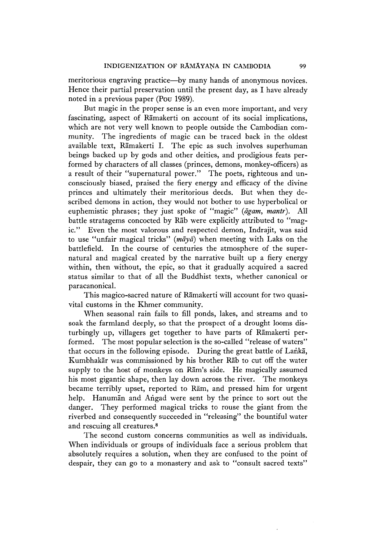meritorious engraving practice—by many hands of anonymous novices. Hence their partial preservation until the present day, as I have alreadynoted in a previous paper (Pou 1989).

But magic in the proper sense is an even more important, and very fascinating, aspect of Rāmakerti on account of its social implications, which are not very well known to people outside the Cambodian community. The ingredients of magic can be traced back in the oldest available text, Ramakerti I. The epic as such involves superhuman beings backed up by gods and other deities, and prodigious feats performed by characters of all classes (princes, demons, monkey-officers) as a result of their "supernatural power." The poets, righteous and unconsciously biased, praised the fiery energy and efficacy of the divine princes and ultimately their meritorious deeds. But when they described demons in action, they would not bother to use hyperbolical or euphemistic phrases; they just spoke of "magic" *(agam, mantr)*. All battle stratagems concocted by Rab were explicitly attributed to "magic." Even the most valorous and respected demon, Indrajit, was said to use "unfair magical tricks" *{maya)* when meeting with Laks on the battlefield. In the course of centuries the atmosphere of the supernatural and magical created by the narrative built up a fiery energy within, then without, the epic, so that it gradually acquired a sacred status similar to that of all the Buddhist texts, whether canonical or paracanonical.

This magico-sacred nature of Rāmakerti will account for two quasivital customs in the Khmer community.

When seasonal rain fails to fill ponds, lakes, and streams and to soak the farmland deeply, so that the prospect of a drought looms disturbingly up, villagers get together to have parts of Ramakerti performed. The most popular selection is the so-called "release of waters" that occurs in the following episode. During the great battle of Lanka, Kumbhakar was commissioned by his brother Rab to cut off the water supply to the host of monkeys on Ram's side. He magically assumed his most gigantic shape, then lay down across the river. The monkeys became terribly upset, reported to Ram, and pressed him for urgent help. Hanuman and Angad were sent by the prince to sort out the danger. They performed magical tricks to rouse the giant from the riverbed and consequently succeeded in "releasing" the bountiful water and rescuing all creatures.8

The second custom concerns communities as well as individuals. When individuals or groups of individuals face a serious problem that absolutely requires a solution, when they are confused to the point of despair, they can go to a monastery and ask to "consult sacred texts"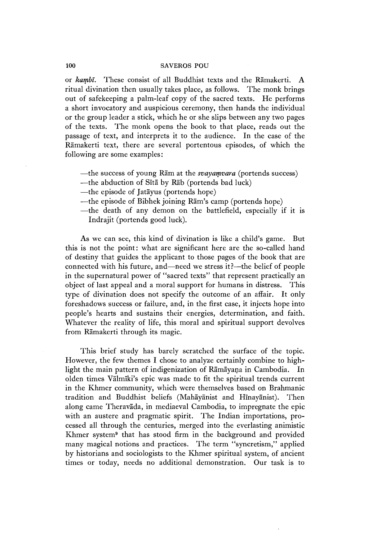or *kambī*. These consist of all Buddhist texts and the Rāmakerti. A ritual divination then usually takes place, as follows. The monk brings out of safekeeping a palm-leaf copy of the sacred texts. He performs a short invocatory and auspicious ceremony, then hands the individual or the group leader a stick, which he or she slips between any two pages of the texts. The monk opens the book to that place, reads out the passage of text, and interprets it to the audience. In the case of the Ramakerti text, there are several portentous episodes, of which the following are some examples:

- ^the success of young Ram at the *svayamvara* (portends success)
- —the abduction of Sita by Rab (portends bad luck)
- —the episode of Jatayus (portends hope)
- —the episode of Bibhek joining Rām's camp (portends hope)
- —the death of any demon on the battlefield, especially if it is Indrajit (portends good luck).

As we can see, this kind of divination is like a child's game. But this is not the point: what are significant here are the so-called hand of destiny that guides the applicant to those pages of the book that are connected with his future, and—need we stress it?—the belief of people in the supernatural power of "sacred texts" that represent practically an object of last appeal and a moral support for humans in distress. This type of divination does not specify the outcome of an affair. It only foreshadows success or failure, and, in the first case, it injects hope into people's hearts and sustains their energies, determination, and faith. Whatever the reality of life, this moral and spiritual support devolves from Ramakerti through its magic.

This brief study has barely scratched the surface of the topic. However, the few themes I chose to analyze certainly combine to highlight the main pattern of indigenization of Rāmāyana in Cambodia. In olden times Vālmīki's epic was made to fit the spiritual trends current in the Khmer community, which were themselves based on Brahmanic tradition and Buddhist beliefs (Mahayanist and Hinayanist). Then along came Theravada, in mediaeval Cambodia, to impregnate the epic with an austere and pragmatic spirit. The Indian importations, processed all through the centuries, merged into the everlasting animistic Khmer system9 that has stood firm in the background and provided many magical notions and practices. The term "syncretism," applied by historians and sociologists to the Khmer spiritual system, of ancient times or today, needs no additional demonstration. Our task is to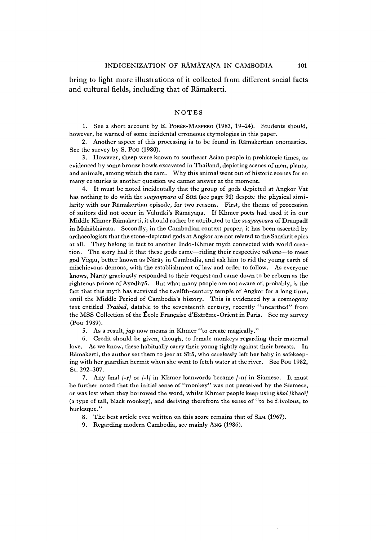bring to light more illustrations of it collected from different social facts and cultural fields, including that of Rāmakerti.

### NOTES

1. See a short account by E. PORÉE-MASPERO (1983, 19-24). Students should, however, be warned of some incidental erroneous etymologies in this paper.

2. Another aspect of this processing is to be found in Ramakertian onomastics. See the survey by S. Pou (1980).

3. However, sheep were known to southeast Asian people in prehistoric times, as evidenced by some bronze bowls excavated in Thailand, depicting scenes of men, plants, and animals, among which the ram. Why this animal went out of historic scenes for so many centuries is another question we cannot answer at the moment.

4. It must be noted incidentally that the group of gods depicted at Angkor Vat has nothing to do with the *svayamvara* of Sita (see page 91) despite the physical similarity with our Ramakertian episode, for two reasons. First, the theme of procession of suitors did not occur in Vālmīki's Rāmāyaṇa. If Khmer poets had used it in our Middle Khmer Ramakerti, it should rather be attributed to the *svayamvara* of Draupadi in Mahabharata. Secondly, in the Cambodian context proper, it has been asserted by archaeologists that the stone -depicted gods at Angkor are not related to the Sanskrit epics at all. They belong in fact to another Indo-Khmer myth connected with world creation. The story had it that these gods came—riding their respective *vahana*—to meet god Visnu, better known as Naray in Cambodia, and ask him to rid the young earth of mischievous demons, with the establishment of law and order to follow. As everyone knows, Naray graciously responded to their request and came down to be reborn as the righteous prince of Ayodhya. But what many people are not aware of, probably, is the fact that this myth has survived the twelfth-century temple of Angkor for a long time, until the Middle Period of Cambodia's history. This is evidenced by a cosmogony text entitled *Traibed*, datable to the seventeenth century, recently "unearthed" from the MSS Collection of the École Française d'Extrême-Orient in Paris. See my survey (Pou 1989).

5. As a result,  $jap$  now means in Khmer "to create magically."

6. Credit should be given, though, to female monkeys regarding their maternal love. As we know, these habitually carry their young tightly against their breasts. In Ramakerti, the author set them to jeer at Sita, who carelessly left her baby in safekeeping with her guardian hermit when she went to fetch water at the river. See Pou 1982, St. 292-307.

7. Any final  $\left|-r\right|$  or  $\left|-1\right|$  in Khmer loanwords became  $\left|-n\right|$  in Siamese. It must be further noted that the initial sense of "monkey" was not perceived by the Siamese, or was lost when they borrowed the word, whilst Khmer people keep using *khol* /khaol/ (a type of tall, black monkey), and deriving therefrom the sense of "to be frivolous, to burlesque."

8. The best article ever written on this score remains that of Sem (1967).

9. Regarding modern Cambodia, see mainly Ang (1986).